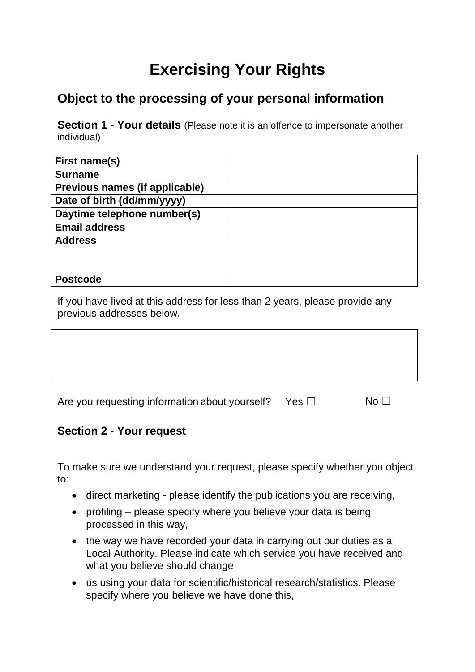# **Exercising Your Rights**

## **Object to the processing of your personal information**

**Section 1 - Your details** (Please note it is an offence to impersonate another individual)

| First name(s)                  |  |
|--------------------------------|--|
| <b>Surname</b>                 |  |
| Previous names (if applicable) |  |
| Date of birth (dd/mm/yyyy)     |  |
| Daytime telephone number(s)    |  |
| <b>Email address</b>           |  |
| <b>Address</b>                 |  |
|                                |  |
|                                |  |
| <b>Postcode</b>                |  |

If you have lived at this address for less than 2 years, please provide any previous addresses below.

| Are you requesting information about yourself? Yes $\square$ | No $\Box$ |
|--------------------------------------------------------------|-----------|
|                                                              |           |

#### **Section 2 - Your request**

To make sure we understand your request, please specify whether you object to:

- direct marketing please identify the publications you are receiving,
- profiling please specify where you believe your data is being processed in this way,
- the way we have recorded your data in carrying out our duties as a Local Authority. Please indicate which service you have received and what you believe should change,
- us using your data for scientific/historical research/statistics. Please specify where you believe we have done this,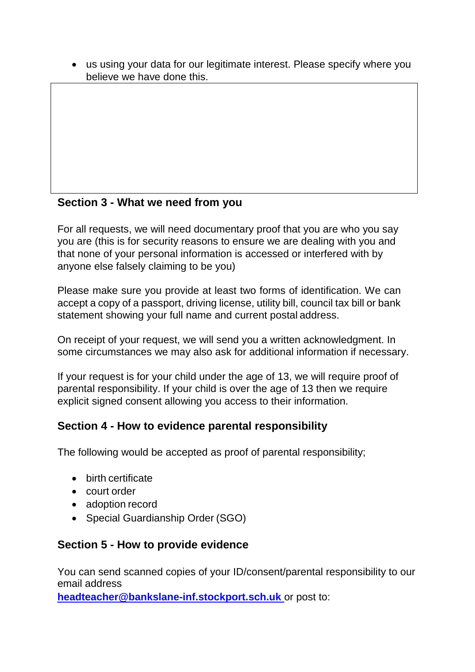us using your data for our legitimate interest. Please specify where you believe we have done this.

#### **Section 3 - What we need from you**

For all requests, we will need documentary proof that you are who you say you are (this is for security reasons to ensure we are dealing with you and that none of your personal information is accessed or interfered with by anyone else falsely claiming to be you)

Please make sure you provide at least two forms of identification. We can accept a copy of a passport, driving license, utility bill, council tax bill or bank statement showing your full name and current postal address.

On receipt of your request, we will send you a written acknowledgment. In some circumstances we may also ask for additional information if necessary.

If your request is for your child under the age of 13, we will require proof of parental responsibility. If your child is over the age of 13 then we require explicit signed consent allowing you access to their information.

#### **Section 4 - How to evidence parental responsibility**

The following would be accepted as proof of parental responsibility;

- birth certificate
- court order
- adoption record
- Special Guardianship Order (SGO)

#### **Section 5 - How to provide evidence**

You can send scanned copies of your ID/consent/parental responsibility to our email address

**[headteacher@bankslane-inf.stockport.sch.uk](mailto:headteacher@bankslane-inf.stockport.sch.uk)** or post to: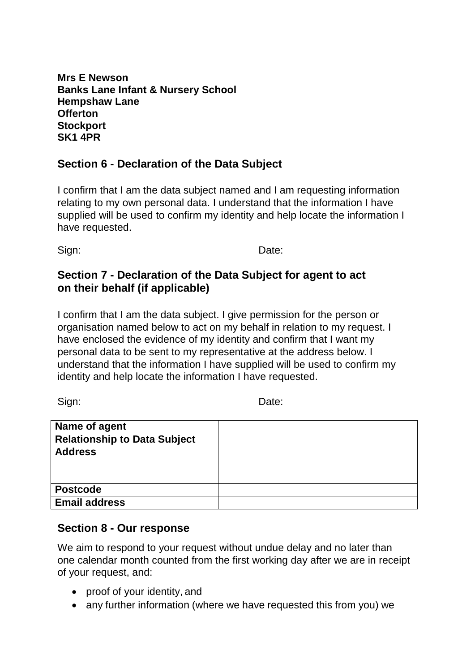**Mrs E Newson Banks Lane Infant & Nursery School Hempshaw Lane Offerton Stockport SK1 4PR**

#### **Section 6 - Declaration of the Data Subject**

I confirm that I am the data subject named and I am requesting information relating to my own personal data. I understand that the information I have supplied will be used to confirm my identity and help locate the information I have requested.

Sign: **Date:** Date:

#### **Section 7 - Declaration of the Data Subject for agent to act on their behalf (if applicable)**

I confirm that I am the data subject. I give permission for the person or organisation named below to act on my behalf in relation to my request. I have enclosed the evidence of my identity and confirm that I want my personal data to be sent to my representative at the address below. I understand that the information I have supplied will be used to confirm my identity and help locate the information I have requested.

Sign: Date:

| Name of agent                       |  |
|-------------------------------------|--|
| <b>Relationship to Data Subject</b> |  |
| <b>Address</b>                      |  |
|                                     |  |
|                                     |  |
| <b>Postcode</b>                     |  |
| <b>Email address</b>                |  |

#### **Section 8 - Our response**

We aim to respond to your request without undue delay and no later than one calendar month counted from the first working day after we are in receipt of your request, and:

- proof of your identity, and
- any further information (where we have requested this from you) we